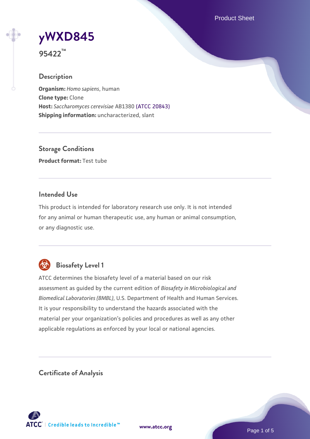Product Sheet

# **[yWXD845](https://www.atcc.org/products/95422)**

**95422™**

# **Description**

**Organism:** *Homo sapiens*, human **Clone type:** Clone **Host:** *Saccharomyces cerevisiae* AB1380 [\(ATCC 20843\)](https://www.atcc.org/products/20843) **Shipping information:** uncharacterized, slant

**Storage Conditions Product format:** Test tube

# **Intended Use**

This product is intended for laboratory research use only. It is not intended for any animal or human therapeutic use, any human or animal consumption, or any diagnostic use.



# **Biosafety Level 1**

ATCC determines the biosafety level of a material based on our risk assessment as guided by the current edition of *Biosafety in Microbiological and Biomedical Laboratories (BMBL)*, U.S. Department of Health and Human Services. It is your responsibility to understand the hazards associated with the material per your organization's policies and procedures as well as any other applicable regulations as enforced by your local or national agencies.

**Certificate of Analysis**

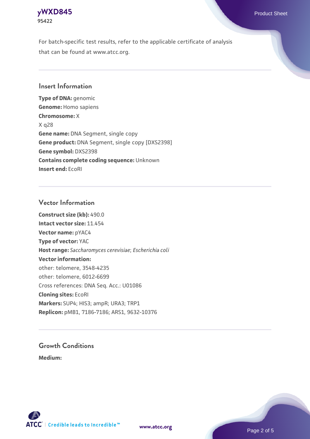# **[yWXD845](https://www.atcc.org/products/95422)** Product Sheet **95422**

For batch-specific test results, refer to the applicable certificate of analysis that can be found at www.atcc.org.

# **Insert Information**

**Type of DNA:** genomic **Genome:** Homo sapiens **Chromosome:** X X q28 **Gene name:** DNA Segment, single copy **Gene product:** DNA Segment, single copy [DXS2398] **Gene symbol:** DXS2398 **Contains complete coding sequence:** Unknown **Insert end:** EcoRI

# **Vector Information**

**Construct size (kb):** 490.0 **Intact vector size:** 11.454 **Vector name:** pYAC4 **Type of vector:** YAC **Host range:** *Saccharomyces cerevisiae*; *Escherichia coli* **Vector information:** other: telomere, 3548-4235 other: telomere, 6012-6699 Cross references: DNA Seq. Acc.: U01086 **Cloning sites:** EcoRI **Markers:** SUP4; HIS3; ampR; URA3; TRP1 **Replicon:** pMB1, 7186-7186; ARS1, 9632-10376

# **Growth Conditions**

**Medium:** 



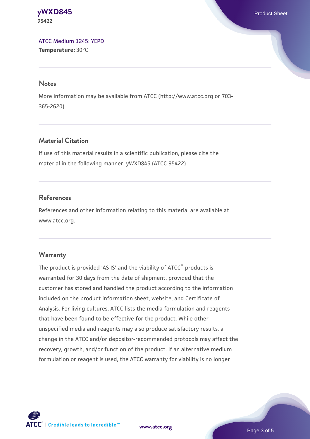**[yWXD845](https://www.atcc.org/products/95422)** Product Sheet **95422**

[ATCC Medium 1245: YEPD](https://www.atcc.org/-/media/product-assets/documents/microbial-media-formulations/1/2/4/5/atcc-medium-1245.pdf?rev=705ca55d1b6f490a808a965d5c072196) **Temperature:** 30°C

#### **Notes**

More information may be available from ATCC (http://www.atcc.org or 703- 365-2620).

# **Material Citation**

If use of this material results in a scientific publication, please cite the material in the following manner: yWXD845 (ATCC 95422)

# **References**

References and other information relating to this material are available at www.atcc.org.

### **Warranty**

The product is provided 'AS IS' and the viability of ATCC® products is warranted for 30 days from the date of shipment, provided that the customer has stored and handled the product according to the information included on the product information sheet, website, and Certificate of Analysis. For living cultures, ATCC lists the media formulation and reagents that have been found to be effective for the product. While other unspecified media and reagents may also produce satisfactory results, a change in the ATCC and/or depositor-recommended protocols may affect the recovery, growth, and/or function of the product. If an alternative medium formulation or reagent is used, the ATCC warranty for viability is no longer



**[www.atcc.org](http://www.atcc.org)**

Page 3 of 5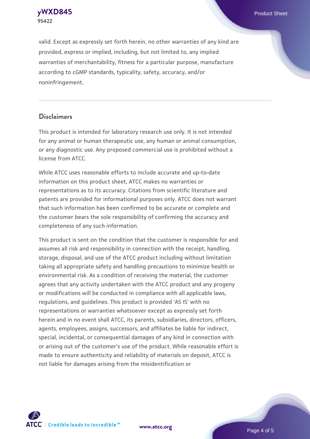**[yWXD845](https://www.atcc.org/products/95422)** Product Sheet **95422**

valid. Except as expressly set forth herein, no other warranties of any kind are provided, express or implied, including, but not limited to, any implied warranties of merchantability, fitness for a particular purpose, manufacture according to cGMP standards, typicality, safety, accuracy, and/or noninfringement.

#### **Disclaimers**

This product is intended for laboratory research use only. It is not intended for any animal or human therapeutic use, any human or animal consumption, or any diagnostic use. Any proposed commercial use is prohibited without a license from ATCC.

While ATCC uses reasonable efforts to include accurate and up-to-date information on this product sheet, ATCC makes no warranties or representations as to its accuracy. Citations from scientific literature and patents are provided for informational purposes only. ATCC does not warrant that such information has been confirmed to be accurate or complete and the customer bears the sole responsibility of confirming the accuracy and completeness of any such information.

This product is sent on the condition that the customer is responsible for and assumes all risk and responsibility in connection with the receipt, handling, storage, disposal, and use of the ATCC product including without limitation taking all appropriate safety and handling precautions to minimize health or environmental risk. As a condition of receiving the material, the customer agrees that any activity undertaken with the ATCC product and any progeny or modifications will be conducted in compliance with all applicable laws, regulations, and guidelines. This product is provided 'AS IS' with no representations or warranties whatsoever except as expressly set forth herein and in no event shall ATCC, its parents, subsidiaries, directors, officers, agents, employees, assigns, successors, and affiliates be liable for indirect, special, incidental, or consequential damages of any kind in connection with or arising out of the customer's use of the product. While reasonable effort is made to ensure authenticity and reliability of materials on deposit, ATCC is not liable for damages arising from the misidentification or



**[www.atcc.org](http://www.atcc.org)**

Page 4 of 5